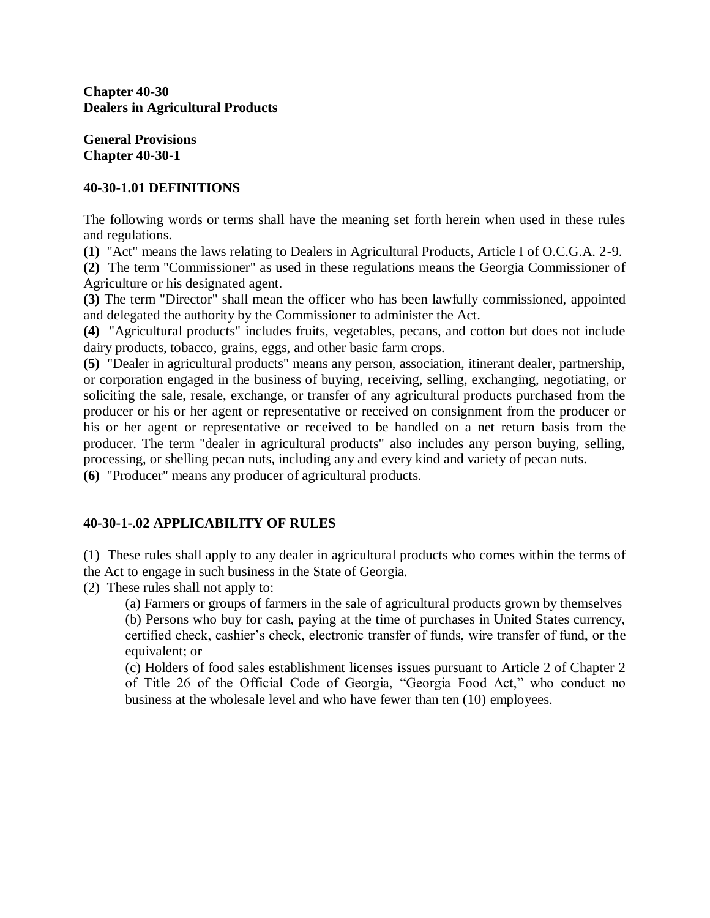**Chapter 40-30 Dealers in Agricultural Products**

**General Provisions Chapter 40-30-1**

# **40-30-1.01 DEFINITIONS**

The following words or terms shall have the meaning set forth herein when used in these rules and regulations.

**(1)** "Act" means the laws relating to Dealers in Agricultural Products, Article I of O.C.G.A. 2-9.

**(2)** The term "Commissioner" as used in these regulations means the Georgia Commissioner of Agriculture or his designated agent.

**(3)** The term "Director" shall mean the officer who has been lawfully commissioned, appointed and delegated the authority by the Commissioner to administer the Act.

**(4)** "Agricultural products" includes fruits, vegetables, pecans, and cotton but does not include dairy products, tobacco, grains, eggs, and other basic farm crops.

**(5)** "Dealer in agricultural products" means any person, association, itinerant dealer, partnership, or corporation engaged in the business of buying, receiving, selling, exchanging, negotiating, or soliciting the sale, resale, exchange, or transfer of any agricultural products purchased from the producer or his or her agent or representative or received on consignment from the producer or his or her agent or representative or received to be handled on a net return basis from the producer. The term "dealer in agricultural products" also includes any person buying, selling, processing, or shelling pecan nuts, including any and every kind and variety of pecan nuts.

**(6)** "Producer" means any producer of agricultural products.

# **40-30-1-.02 APPLICABILITY OF RULES**

(1) These rules shall apply to any dealer in agricultural products who comes within the terms of the Act to engage in such business in the State of Georgia.

(2) These rules shall not apply to:

(a) Farmers or groups of farmers in the sale of agricultural products grown by themselves (b) Persons who buy for cash, paying at the time of purchases in United States currency, certified check, cashier's check, electronic transfer of funds, wire transfer of fund, or the equivalent; or

(c) Holders of food sales establishment licenses issues pursuant to Article 2 of Chapter 2 of Title 26 of the Official Code of Georgia, "Georgia Food Act," who conduct no business at the wholesale level and who have fewer than ten (10) employees.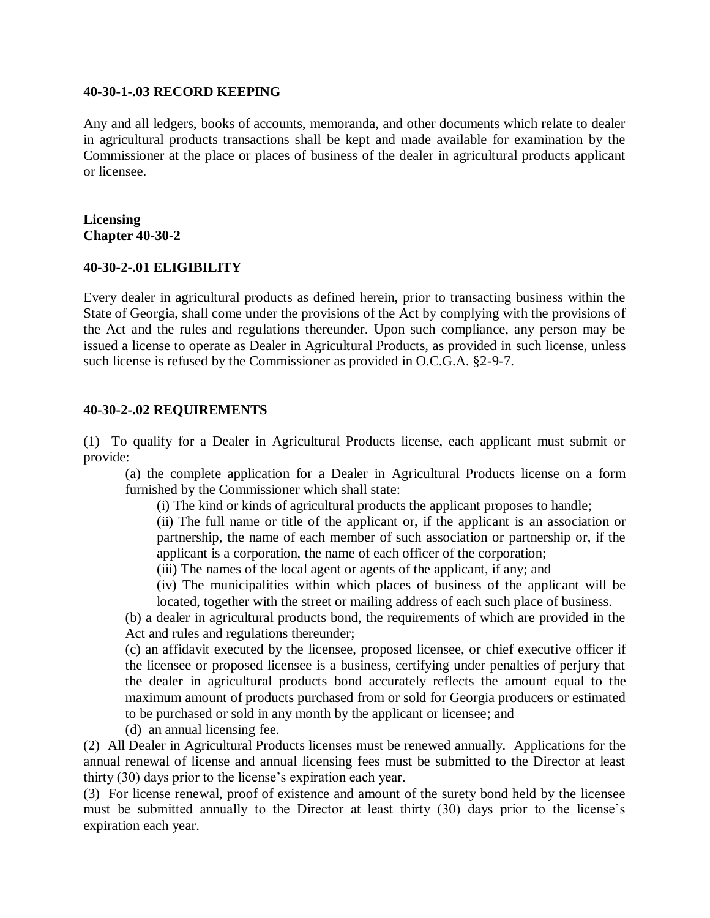#### **40-30-1-.03 RECORD KEEPING**

Any and all ledgers, books of accounts, memoranda, and other documents which relate to dealer in agricultural products transactions shall be kept and made available for examination by the Commissioner at the place or places of business of the dealer in agricultural products applicant or licensee.

## **Licensing Chapter 40-30-2**

# **40-30-2-.01 ELIGIBILITY**

Every dealer in agricultural products as defined herein, prior to transacting business within the State of Georgia, shall come under the provisions of the Act by complying with the provisions of the Act and the rules and regulations thereunder. Upon such compliance, any person may be issued a license to operate as Dealer in Agricultural Products, as provided in such license, unless such license is refused by the Commissioner as provided in O.C.G.A. §2-9-7.

## **40-30-2-.02 REQUIREMENTS**

(1) To qualify for a Dealer in Agricultural Products license, each applicant must submit or provide:

(a) the complete application for a Dealer in Agricultural Products license on a form furnished by the Commissioner which shall state:

(i) The kind or kinds of agricultural products the applicant proposes to handle;

(ii) The full name or title of the applicant or, if the applicant is an association or partnership, the name of each member of such association or partnership or, if the applicant is a corporation, the name of each officer of the corporation;

(iii) The names of the local agent or agents of the applicant, if any; and

(iv) The municipalities within which places of business of the applicant will be located, together with the street or mailing address of each such place of business.

(b) a dealer in agricultural products bond, the requirements of which are provided in the Act and rules and regulations thereunder;

(c) an affidavit executed by the licensee, proposed licensee, or chief executive officer if the licensee or proposed licensee is a business, certifying under penalties of perjury that the dealer in agricultural products bond accurately reflects the amount equal to the maximum amount of products purchased from or sold for Georgia producers or estimated to be purchased or sold in any month by the applicant or licensee; and

(d) an annual licensing fee.

(2) All Dealer in Agricultural Products licenses must be renewed annually. Applications for the annual renewal of license and annual licensing fees must be submitted to the Director at least thirty (30) days prior to the license's expiration each year.

(3) For license renewal, proof of existence and amount of the surety bond held by the licensee must be submitted annually to the Director at least thirty (30) days prior to the license's expiration each year.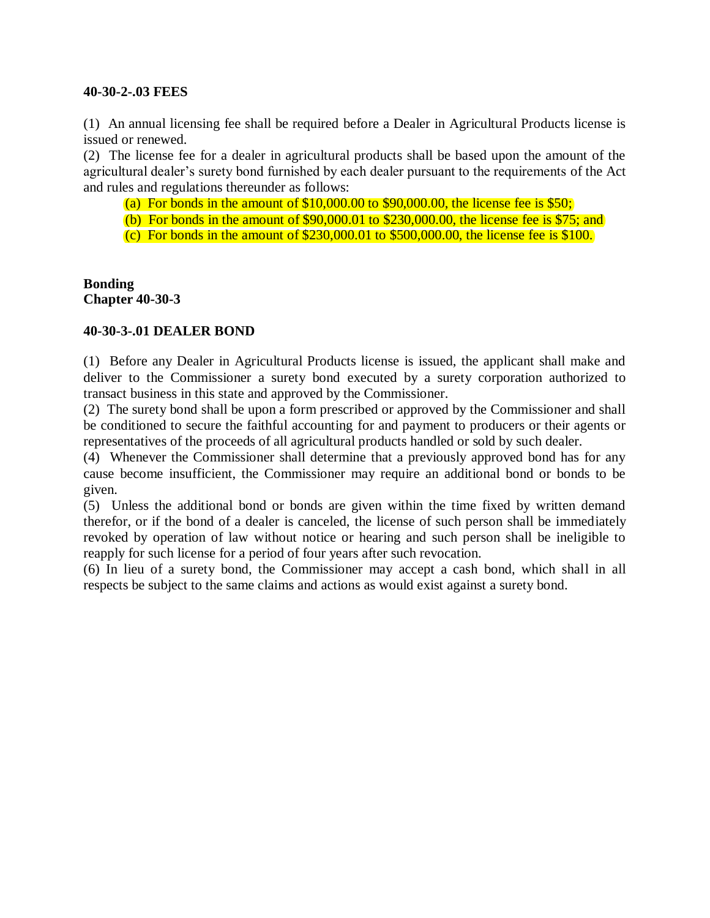## **40-30-2-.03 FEES**

(1) An annual licensing fee shall be required before a Dealer in Agricultural Products license is issued or renewed.

(2) The license fee for a dealer in agricultural products shall be based upon the amount of the agricultural dealer's surety bond furnished by each dealer pursuant to the requirements of the Act and rules and regulations thereunder as follows:

(a) For bonds in the amount of  $$10,000.00$  to  $$90,000.00$ , the license fee is  $$50$ ;

(b) For bonds in the amount of \$90,000.01 to \$230,000.00, the license fee is \$75; and

(c) For bonds in the amount of \$230,000.01 to \$500,000.00, the license fee is \$100.

**Bonding Chapter 40-30-3**

# **40-30-3-.01 DEALER BOND**

(1) Before any Dealer in Agricultural Products license is issued, the applicant shall make and deliver to the Commissioner a surety bond executed by a surety corporation authorized to transact business in this state and approved by the Commissioner.

(2) The surety bond shall be upon a form prescribed or approved by the Commissioner and shall be conditioned to secure the faithful accounting for and payment to producers or their agents or representatives of the proceeds of all agricultural products handled or sold by such dealer.

(4) Whenever the Commissioner shall determine that a previously approved bond has for any cause become insufficient, the Commissioner may require an additional bond or bonds to be given.

(5) Unless the additional bond or bonds are given within the time fixed by written demand therefor, or if the bond of a dealer is canceled, the license of such person shall be immediately revoked by operation of law without notice or hearing and such person shall be ineligible to reapply for such license for a period of four years after such revocation.

(6) In lieu of a surety bond, the Commissioner may accept a cash bond, which shall in all respects be subject to the same claims and actions as would exist against a surety bond.